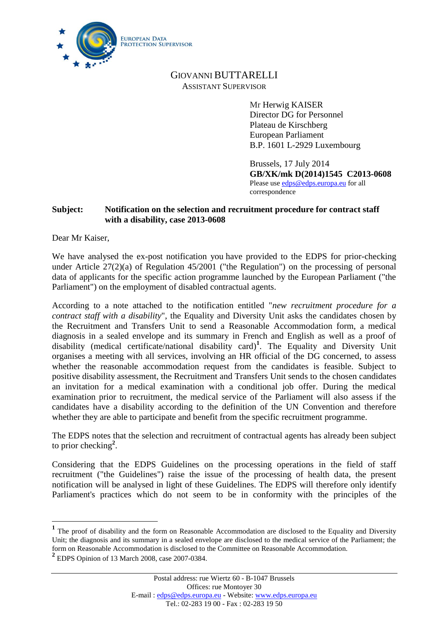

# GIOVANNI BUTTARELLI ASSISTANT SUPERVISOR

Mr Herwig KAISER Director DG for Personnel Plateau de Kirschberg European Parliament B.P. 1601 L-2929 Luxembourg

Brussels, 17 July 2014 **GB/XK/mk D(2014)1545 C2013-0608** Please use [edps@edps.europa.eu](mailto:edps@edps.europa.eu) for all correspondence

## **Subject: Notification on the selection and recruitment procedure for contract staff with a disability, case 2013-0608**

Dear Mr Kaiser,

We have analysed the ex-post notification you have provided to the EDPS for prior-checking under Article 27(2)(a) of Regulation 45/2001 ("the Regulation") on the processing of personal data of applicants for the specific action programme launched by the European Parliament ("the Parliament") on the employment of disabled contractual agents.

According to a note attached to the notification entitled "*new recruitment procedure for a contract staff with a disability*", the Equality and Diversity Unit asks the candidates chosen by the Recruitment and Transfers Unit to send a Reasonable Accommodation form, a medical diagnosis in a sealed envelope and its summary in French and English as well as a proof of disability (medical certificate/national disability card)**<sup>1</sup>** . The Equality and Diversity Unit organises a meeting with all services, involving an HR official of the DG concerned, to assess whether the reasonable accommodation request from the candidates is feasible. Subject to positive disability assessment, the Recruitment and Transfers Unit sends to the chosen candidates an invitation for a medical examination with a conditional job offer. During the medical examination prior to recruitment, the medical service of the Parliament will also assess if the candidates have a disability according to the definition of the UN Convention and therefore whether they are able to participate and benefit from the specific recruitment programme.

The EDPS notes that the selection and recruitment of contractual agents has already been subject to prior checking**<sup>2</sup>** .

Considering that the EDPS Guidelines on the processing operations in the field of staff recruitment ("the Guidelines") raise the issue of the processing of health data, the present notification will be analysed in light of these Guidelines. The EDPS will therefore only identify Parliament's practices which do not seem to be in conformity with the principles of the

 $\overline{a}$ 

<sup>&</sup>lt;sup>1</sup> The proof of disability and the form on Reasonable Accommodation are disclosed to the Equality and Diversity Unit; the diagnosis and its summary in a sealed envelope are disclosed to the medical service of the Parliament; the form on Reasonable Accommodation is disclosed to the Committee on Reasonable Accommodation.

**<sup>2</sup>** EDPS Opinion of 13 March 2008, case 2007-0384.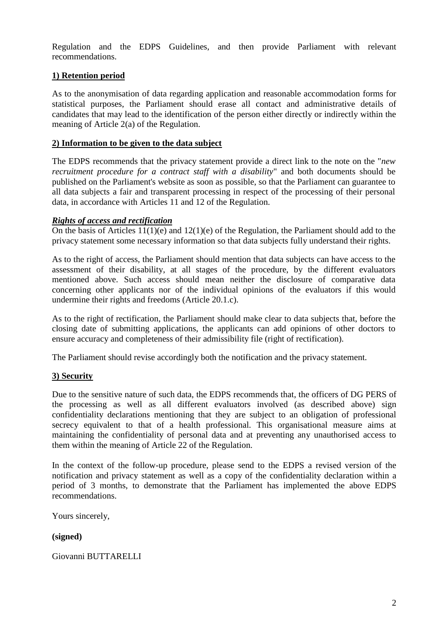Regulation and the EDPS Guidelines, and then provide Parliament with relevant recommendations.

## **1) Retention period**

As to the anonymisation of data regarding application and reasonable accommodation forms for statistical purposes, the Parliament should erase all contact and administrative details of candidates that may lead to the identification of the person either directly or indirectly within the meaning of Article 2(a) of the Regulation.

### **2) Information to be given to the data subject**

The EDPS recommends that the privacy statement provide a direct link to the note on the "*new recruitment procedure for a contract staff with a disability*" and both documents should be published on the Parliament's website as soon as possible, so that the Parliament can guarantee to all data subjects a fair and transparent processing in respect of the processing of their personal data, in accordance with Articles 11 and 12 of the Regulation.

### *Rights of access and rectification*

On the basis of Articles 11(1)(e) and 12(1)(e) of the Regulation, the Parliament should add to the privacy statement some necessary information so that data subjects fully understand their rights.

As to the right of access, the Parliament should mention that data subjects can have access to the assessment of their disability, at all stages of the procedure, by the different evaluators mentioned above. Such access should mean neither the disclosure of comparative data concerning other applicants nor of the individual opinions of the evaluators if this would undermine their rights and freedoms (Article 20.1.c).

As to the right of rectification, the Parliament should make clear to data subjects that, before the closing date of submitting applications, the applicants can add opinions of other doctors to ensure accuracy and completeness of their admissibility file (right of rectification).

The Parliament should revise accordingly both the notification and the privacy statement.

## **3) Security**

Due to the sensitive nature of such data, the EDPS recommends that, the officers of DG PERS of the processing as well as all different evaluators involved (as described above) sign confidentiality declarations mentioning that they are subject to an obligation of professional secrecy equivalent to that of a health professional. This organisational measure aims at maintaining the confidentiality of personal data and at preventing any unauthorised access to them within the meaning of Article 22 of the Regulation.

In the context of the follow-up procedure, please send to the EDPS a revised version of the notification and privacy statement as well as a copy of the confidentiality declaration within a period of 3 months, to demonstrate that the Parliament has implemented the above EDPS recommendations.

Yours sincerely,

#### **(signed)**

Giovanni BUTTARELLI